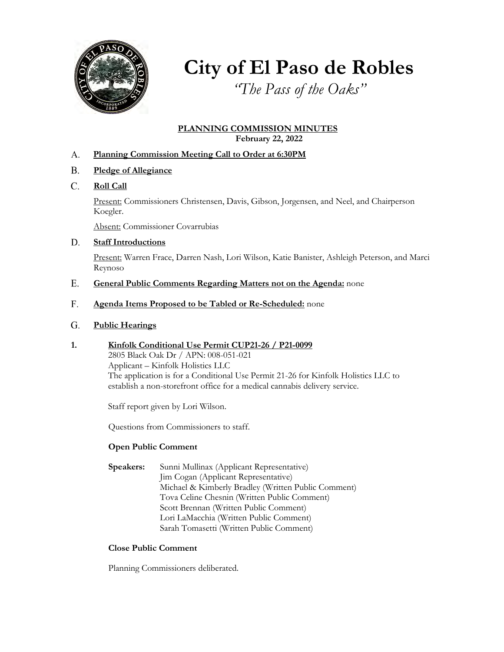

# **City of El Paso de Robles**

*"The Pass of the Oaks"*

### **PLANNING COMMISSION MINUTES February 22, 2022**

- **Planning Commission Meeting Call to Order at 6:30PM** A.
- **Pledge of Allegiance** B.
- **Roll Call** C.

Present: Commissioners Christensen, Davis, Gibson, Jorgensen, and Neel, and Chairperson Koegler.

Absent: Commissioner Covarrubias

#### **Staff Introductions** D.

Present: Warren Frace, Darren Nash, Lori Wilson, Katie Banister, Ashleigh Peterson, and Marci Reynoso

- **General Public Comments Regarding Matters not on the Agenda:** none E.
- **Agenda Items Proposed to be Tabled or Re-Scheduled:** none F.

#### **Public Hearings**  G.

**1. Kinfolk Conditional Use Permit CUP21-26 / P21-0099** 2805 Black Oak Dr / APN: 008-051-021 Applicant – Kinfolk Holistics LLC The application is for a Conditional Use Permit 21-26 for Kinfolk Holistics LLC to establish a non-storefront office for a medical cannabis delivery service.

Staff report given by Lori Wilson.

Questions from Commissioners to staff.

# **Open Public Comment**

**Speakers:** Sunni Mullinax (Applicant Representative) Jim Cogan (Applicant Representative) Michael & Kimberly Bradley (Written Public Comment) Tova Celine Chesnin (Written Public Comment) Scott Brennan (Written Public Comment) Lori LaMacchia (Written Public Comment) Sarah Tomasetti (Written Public Comment)

### **Close Public Comment**

Planning Commissioners deliberated.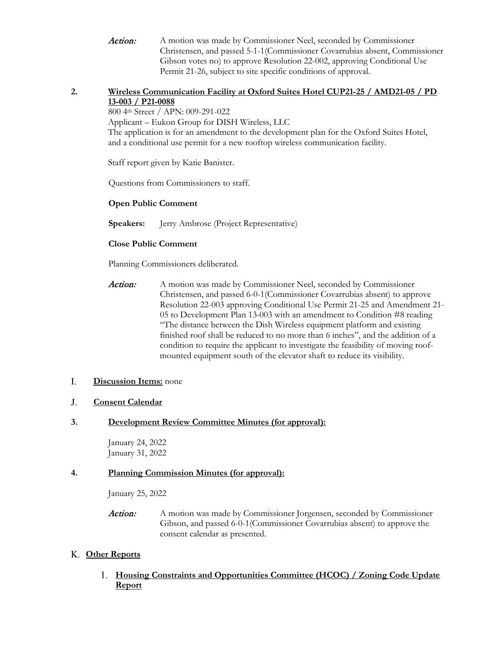Action: A motion was made by Commissioner Neel, seconded by Commissioner Christensen, and passed 5-1-1(Commissioner Covarrubias absent, Commissioner Gibson votes no) to approve Resolution 22-002, approving Conditional Use Permit 21-26, subject to site specific conditions of approval.

### **2. Wireless Communication Facility at Oxford Suites Hotel CUP21-25 / AMD21-05 / PD 13-003 / P21-0088**

800 4th Street / APN: 009-291-022

Applicant – Eukon Group for DISH Wireless, LLC

The application is for an amendment to the development plan for the Oxford Suites Hotel, and a conditional use permit for a new rooftop wireless communication facility.

Staff report given by Katie Banister.

Questions from Commissioners to staff.

### **Open Public Comment**

**Speakers:** Jerry Ambrose (Project Representative)

### **Close Public Comment**

Planning Commissioners deliberated.

Action: A motion was made by Commissioner Neel, seconded by Commissioner Christensen, and passed 6-0-1(Commissioner Covarrubias absent) to approve Resolution 22-003 approving Conditional Use Permit 21-25 and Amendment 21- 05 to Development Plan 13-003 with an amendment to Condition #8 reading "The distance between the Dish Wireless equipment platform and existing finished roof shall be reduced to no more than 6 inches", and the addition of a condition to require the applicant to investigate the feasibility of moving roofmounted equipment south of the elevator shaft to reduce its visibility.

#### **Discussion Items:** none I.

#### **Consent Calendar** J.

### **3. Development Review Committee Minutes (for approval):**

January 24, 2022 January 31, 2022

### **4. Planning Commission Minutes (for approval):**

January 25, 2022

**Action:** A motion was made by Commissioner Jorgensen, seconded by Commissioner Gibson, and passed 6-0-1(Commissioner Covarrubias absent) to approve the consent calendar as presented.

# **Other Reports** K.

# **Housing Constraints and Opportunities Committee (HCOC) / Zoning Code Update** 1. **Report**